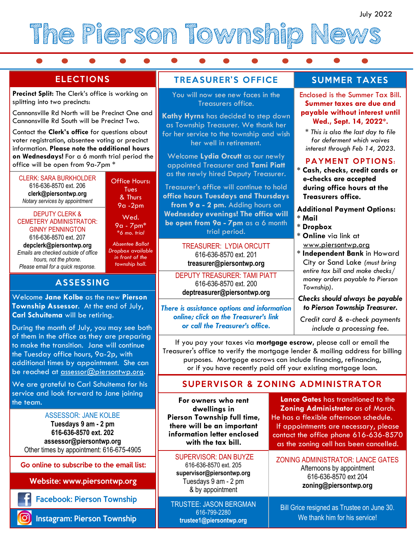

 $\bullet$ 

### **ELECTIONS**

**Precinct Split:** The Clerk's office is working on splitting into two precincts:

Cannonsville Rd North will be Precinct One and Cannonsville Rd South will be Precinct Two.

Contact the **Clerk's office** for questions about voter registration, absentee voting or precinct information. **Please note the additional hours on Wednesdays!** For a 6 month trial period the office will be open from 9a-7pm \*

CLERK: SARA BURKHOLDER 616-636-8570 ext. 206 **clerk@piersontwp.org** *Notary services by appointment*

DEPUTY CLERK & CEMETERY ADMINISTRATOR: GINNY PENNINGTON 616-636-8570 ext. 207

**depclerk@piersontwp.org**  *Emails are checked outside of office hours, not the phone. Please email for a quick response.*

& Thurs 9a -2pm Wed. 9a - 7pm\*

Office Hours: Tues

 $\bullet$ 

*\*6 mo. trial* 

*Absentee Ballot Dropbox available in front of the township hall.* 

### **ASSESSING**

Welcome **Jane Kolbe** as the new **Pierson Township Assessor**. At the end of July, **Carl Schuitema** will be retiring.

During the month of July, you may see both of them in the office as they are preparing to make the transition. Jane will continue the Tuesday office hours, 9a-2p, with additional times by appointment. She can be reached at assessor@piersontwp.org.

We are grateful to Carl Schuitema for his service and look forward to Jane joining the team.

#### ASSESSOR: JANE KOLBE

**Tuesdays 9 am - 2 pm 616-636-8570 ext. 202 assessor@piersontwp.org** Other times by appointment: 616-675-4905

Go online to subscribe to the email list:

**Website: www.piersontwp.org** 

**Facebook: Pierson Township** 

**Instagram: Pierson Township** 

### **TREASURER'S OFFICE**

You will now see new faces in the Treasurers office.

**Kathy Hyrns** has decided to step down as Township Treasurer. We thank her for her service to the township and wish her well in retirement.

Welcome **Lydia Orcutt** as our newly appointed Treasurer and **Tami Piatt** as the newly hired Deputy Treasurer.

Treasurer's office will continue to hold **office hours Tuesdays and Thursdays from 9 a - 2 pm.** Adding hours on **Wednesday evenings! The office will be open from 9a - 7pm** as a 6 month trial period.

> TREASURER: LYDIA ORCUTT 616-636-8570 ext. 201 **treasurer@piersontwp.org**

DEPUTY TREASURER: TAMI PIATT 616-636-8570 ext. 200 **deptreasurer@piersontwp.org**

*There is assistance options and information online; click on the Treasurer's link or call the Treasurer's office.* 

## **SUMMER TAXES**

Enclosed is the Summer Tax Bill. **Summer taxes are due and payable without interest until Wed., Sept. 14, 2022\*.** 

*\* This is also the last day to file for deferment which waives interest through Feb 14, 2023.* 

#### **PAYMENT OPTIONS:**

**\* Cash, checks, credit cards or e-checks are accepted during office hours at the Treasurers office.** 

#### **Additional Payment Options:**

- **\* Mail**
- **\* Dropbox**
- **Online** via link at www.piersontwp.org
- $*$  **Independent Bank** in Howard **City or Sand Lake (must bring** Pierson Township *entire tax bill and make checks/* full time, there will *money orders payable to Pierson Township*).

#### information encoderation  $\mathbf{r}$ with the tax bill. *Checks should always be payable to Pierson Township Treasurer.*

*Credit card & e-check payments include a processing fee.*

If you pay your taxes via **mortgage escrow,** please call or email the Treasurer's office to verify the mortgage lender & mailing address for billing purposes. Mortgage escrows can include financing, refinancing, or if you have recently paid off your existing mortgage loan.

### **SUPERVISOR & ZONING ADMINISTRATOR**

**For owners who rent dwellings in Pierson Township full time, there will be an important information letter enclosed with the tax bill.** 

#### SUPERVISOR: DAN BUYZE

616-636-8570 ext. 205 **supervisor@piersontwp.org** Tuesdays 9 am - 2 pm & by appointment

TRUSTEE: JASON BERGMAN 616-799-2280 **trustee1@piersontwp.org**

**Lance Gates** has transitioned to the **Zoning Administrator** as of March. He has a flexible afternoon schedule. If appointments are necessary, please contact the office phone 616-636-8570 as the zoning cell has been cancelled.

ZONING ADMINISTRATOR: LANCE GATES Afternoons by appointment 616-636-8570 ext 204 **zoning@piersontwp.org**

Bill Grice resigned as Trustee on June 30. We thank him for his service!